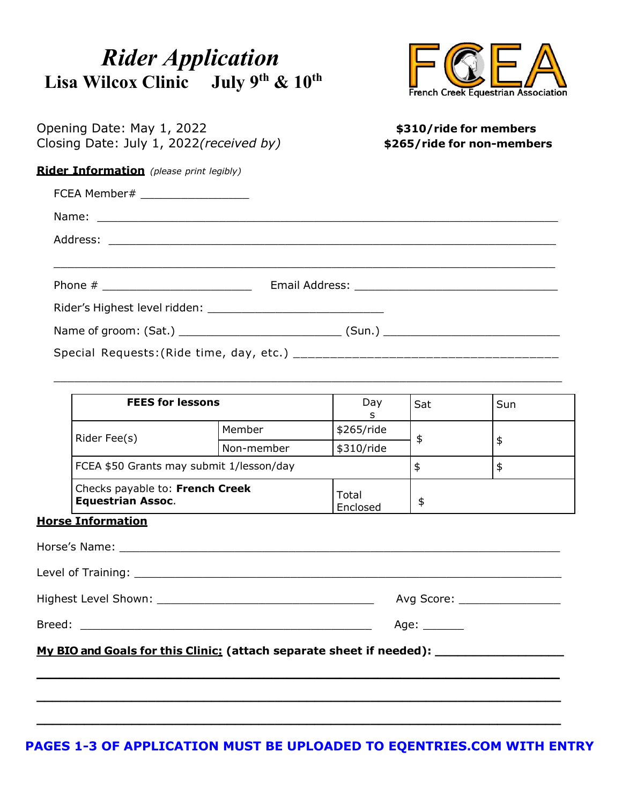## *Rider Application* **Lisa Wilcox Clinic July 9th & 10th**



| Opening Date: May 1, 2022<br>Closing Date: July 1, 2022(received by) | \$310/ride for members<br>\$265/ride for non-members |
|----------------------------------------------------------------------|------------------------------------------------------|
| <b>Rider Information</b> (please print legibly)                      |                                                      |
| FCEA Member# ___________________                                     |                                                      |
|                                                                      |                                                      |
|                                                                      |                                                      |
|                                                                      |                                                      |
|                                                                      |                                                      |
|                                                                      |                                                      |
|                                                                      |                                                      |
|                                                                      |                                                      |
|                                                                      |                                                      |

| <b>FEES for lessons</b>                                     |            | Day               | Sat | Sun |
|-------------------------------------------------------------|------------|-------------------|-----|-----|
| Rider Fee(s)                                                | Member     | \$265/ride        |     |     |
|                                                             | Non-member | \$310/ride        |     |     |
| FCEA \$50 Grants may submit 1/lesson/day                    |            |                   |     |     |
| Checks payable to: French Creek<br><b>Equestrian Assoc.</b> |            | Total<br>Enclosed |     |     |

 $\overline{\phantom{a}}$  , and the contribution of the contribution of the contribution of the contribution of the contribution of the contribution of the contribution of the contribution of the contribution of the contribution of the

#### **Horse Information**

| Avg Score: __________________ |
|-------------------------------|
| Age: $\_\_\_\_\_\_\_\_\_\$    |
|                               |
|                               |
|                               |
|                               |

#### **PAGES 1-3 OF APPLICATION MUST BE UPLOADED TO EQENTRIES.COM WITH ENTRY**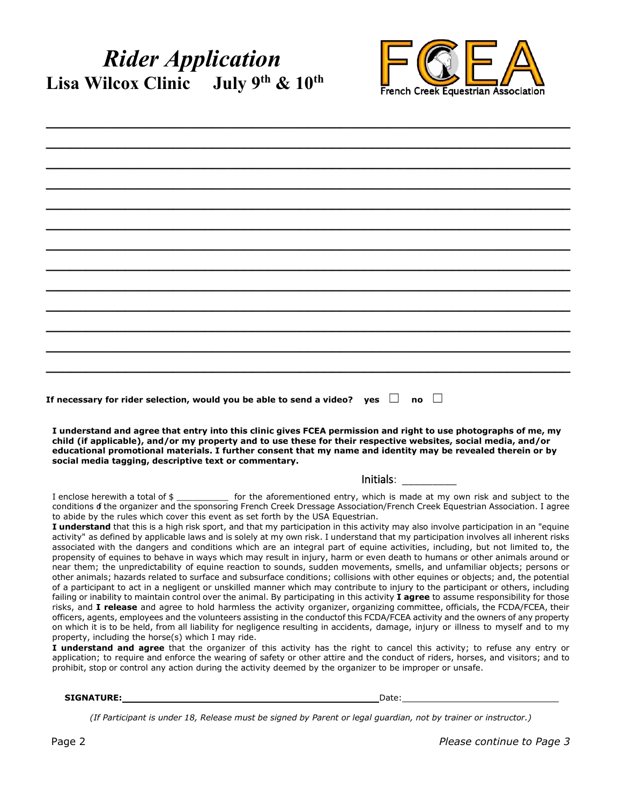## *Rider Application* **Lisa Wilcox Clinic July 9th & 10th**



| I understand and agree that entry into this clinic gives FCEA permission and right to use photographs of me, my<br>child (if applicable), and/or my property and to use these for their respective websites, social media, and/or<br>educational promotional materials. I further consent that my name and identity may be revealed therein or by<br>social media tagging, descriptive text or commentary.<br>Initials: The control of the control of the control of the control of the control of the control of the control of the control of the control of the control of the control of the control of the control of the control of th<br>to abide by the rules which cover this event as set forth by the USA Equestrian.<br>I understand that this is a high risk sport, and that my participation in this activity may also involve participation in an "equine<br>activity" as defined by applicable laws and is solely at my own risk. I understand that my participation involves all inherent risks<br>associated with the dangers and conditions which are an integral part of equine activities, including, but not limited to, the<br>near them; the unpredictability of equine reaction to sounds, sudden movements, smells, and unfamiliar objects; persons or<br>property, including the horse(s) which I may ride.<br>prohibit, stop or control any action during the activity deemed by the organizer to be improper or unsafe. |                                                                                                                                                                                                                                                                                                                                                                                                                                                                                                                                                                                                                                                                                                                                                                                                                                                                                                                                                                                                                                                                                                                                                                                                                                                                                                                                                                                                                                                                                             |
|------------------------------------------------------------------------------------------------------------------------------------------------------------------------------------------------------------------------------------------------------------------------------------------------------------------------------------------------------------------------------------------------------------------------------------------------------------------------------------------------------------------------------------------------------------------------------------------------------------------------------------------------------------------------------------------------------------------------------------------------------------------------------------------------------------------------------------------------------------------------------------------------------------------------------------------------------------------------------------------------------------------------------------------------------------------------------------------------------------------------------------------------------------------------------------------------------------------------------------------------------------------------------------------------------------------------------------------------------------------------------------------------------------------------------------------------------|---------------------------------------------------------------------------------------------------------------------------------------------------------------------------------------------------------------------------------------------------------------------------------------------------------------------------------------------------------------------------------------------------------------------------------------------------------------------------------------------------------------------------------------------------------------------------------------------------------------------------------------------------------------------------------------------------------------------------------------------------------------------------------------------------------------------------------------------------------------------------------------------------------------------------------------------------------------------------------------------------------------------------------------------------------------------------------------------------------------------------------------------------------------------------------------------------------------------------------------------------------------------------------------------------------------------------------------------------------------------------------------------------------------------------------------------------------------------------------------------|
|                                                                                                                                                                                                                                                                                                                                                                                                                                                                                                                                                                                                                                                                                                                                                                                                                                                                                                                                                                                                                                                                                                                                                                                                                                                                                                                                                                                                                                                      |                                                                                                                                                                                                                                                                                                                                                                                                                                                                                                                                                                                                                                                                                                                                                                                                                                                                                                                                                                                                                                                                                                                                                                                                                                                                                                                                                                                                                                                                                             |
|                                                                                                                                                                                                                                                                                                                                                                                                                                                                                                                                                                                                                                                                                                                                                                                                                                                                                                                                                                                                                                                                                                                                                                                                                                                                                                                                                                                                                                                      |                                                                                                                                                                                                                                                                                                                                                                                                                                                                                                                                                                                                                                                                                                                                                                                                                                                                                                                                                                                                                                                                                                                                                                                                                                                                                                                                                                                                                                                                                             |
|                                                                                                                                                                                                                                                                                                                                                                                                                                                                                                                                                                                                                                                                                                                                                                                                                                                                                                                                                                                                                                                                                                                                                                                                                                                                                                                                                                                                                                                      |                                                                                                                                                                                                                                                                                                                                                                                                                                                                                                                                                                                                                                                                                                                                                                                                                                                                                                                                                                                                                                                                                                                                                                                                                                                                                                                                                                                                                                                                                             |
|                                                                                                                                                                                                                                                                                                                                                                                                                                                                                                                                                                                                                                                                                                                                                                                                                                                                                                                                                                                                                                                                                                                                                                                                                                                                                                                                                                                                                                                      |                                                                                                                                                                                                                                                                                                                                                                                                                                                                                                                                                                                                                                                                                                                                                                                                                                                                                                                                                                                                                                                                                                                                                                                                                                                                                                                                                                                                                                                                                             |
|                                                                                                                                                                                                                                                                                                                                                                                                                                                                                                                                                                                                                                                                                                                                                                                                                                                                                                                                                                                                                                                                                                                                                                                                                                                                                                                                                                                                                                                      |                                                                                                                                                                                                                                                                                                                                                                                                                                                                                                                                                                                                                                                                                                                                                                                                                                                                                                                                                                                                                                                                                                                                                                                                                                                                                                                                                                                                                                                                                             |
|                                                                                                                                                                                                                                                                                                                                                                                                                                                                                                                                                                                                                                                                                                                                                                                                                                                                                                                                                                                                                                                                                                                                                                                                                                                                                                                                                                                                                                                      |                                                                                                                                                                                                                                                                                                                                                                                                                                                                                                                                                                                                                                                                                                                                                                                                                                                                                                                                                                                                                                                                                                                                                                                                                                                                                                                                                                                                                                                                                             |
| If necessary for rider selection, would you be able to send a video? $\,$ yes $\,$ $\Box$ $\,$ no $\,$ $\Box$                                                                                                                                                                                                                                                                                                                                                                                                                                                                                                                                                                                                                                                                                                                                                                                                                                                                                                                                                                                                                                                                                                                                                                                                                                                                                                                                        |                                                                                                                                                                                                                                                                                                                                                                                                                                                                                                                                                                                                                                                                                                                                                                                                                                                                                                                                                                                                                                                                                                                                                                                                                                                                                                                                                                                                                                                                                             |
|                                                                                                                                                                                                                                                                                                                                                                                                                                                                                                                                                                                                                                                                                                                                                                                                                                                                                                                                                                                                                                                                                                                                                                                                                                                                                                                                                                                                                                                      |                                                                                                                                                                                                                                                                                                                                                                                                                                                                                                                                                                                                                                                                                                                                                                                                                                                                                                                                                                                                                                                                                                                                                                                                                                                                                                                                                                                                                                                                                             |
|                                                                                                                                                                                                                                                                                                                                                                                                                                                                                                                                                                                                                                                                                                                                                                                                                                                                                                                                                                                                                                                                                                                                                                                                                                                                                                                                                                                                                                                      |                                                                                                                                                                                                                                                                                                                                                                                                                                                                                                                                                                                                                                                                                                                                                                                                                                                                                                                                                                                                                                                                                                                                                                                                                                                                                                                                                                                                                                                                                             |
|                                                                                                                                                                                                                                                                                                                                                                                                                                                                                                                                                                                                                                                                                                                                                                                                                                                                                                                                                                                                                                                                                                                                                                                                                                                                                                                                                                                                                                                      |                                                                                                                                                                                                                                                                                                                                                                                                                                                                                                                                                                                                                                                                                                                                                                                                                                                                                                                                                                                                                                                                                                                                                                                                                                                                                                                                                                                                                                                                                             |
|                                                                                                                                                                                                                                                                                                                                                                                                                                                                                                                                                                                                                                                                                                                                                                                                                                                                                                                                                                                                                                                                                                                                                                                                                                                                                                                                                                                                                                                      |                                                                                                                                                                                                                                                                                                                                                                                                                                                                                                                                                                                                                                                                                                                                                                                                                                                                                                                                                                                                                                                                                                                                                                                                                                                                                                                                                                                                                                                                                             |
|                                                                                                                                                                                                                                                                                                                                                                                                                                                                                                                                                                                                                                                                                                                                                                                                                                                                                                                                                                                                                                                                                                                                                                                                                                                                                                                                                                                                                                                      |                                                                                                                                                                                                                                                                                                                                                                                                                                                                                                                                                                                                                                                                                                                                                                                                                                                                                                                                                                                                                                                                                                                                                                                                                                                                                                                                                                                                                                                                                             |
|                                                                                                                                                                                                                                                                                                                                                                                                                                                                                                                                                                                                                                                                                                                                                                                                                                                                                                                                                                                                                                                                                                                                                                                                                                                                                                                                                                                                                                                      |                                                                                                                                                                                                                                                                                                                                                                                                                                                                                                                                                                                                                                                                                                                                                                                                                                                                                                                                                                                                                                                                                                                                                                                                                                                                                                                                                                                                                                                                                             |
|                                                                                                                                                                                                                                                                                                                                                                                                                                                                                                                                                                                                                                                                                                                                                                                                                                                                                                                                                                                                                                                                                                                                                                                                                                                                                                                                                                                                                                                      |                                                                                                                                                                                                                                                                                                                                                                                                                                                                                                                                                                                                                                                                                                                                                                                                                                                                                                                                                                                                                                                                                                                                                                                                                                                                                                                                                                                                                                                                                             |
|                                                                                                                                                                                                                                                                                                                                                                                                                                                                                                                                                                                                                                                                                                                                                                                                                                                                                                                                                                                                                                                                                                                                                                                                                                                                                                                                                                                                                                                      | I enclose herewith a total of \$_____________ for the aforementioned entry, which is made at my own risk and subject to the<br>conditions of the organizer and the sponsoring French Creek Dressage Association/French Creek Equestrian Association. I agree<br>propensity of equines to behave in ways which may result in injury, harm or even death to humans or other animals around or<br>other animals; hazards related to surface and subsurface conditions; collisions with other equines or objects; and, the potential<br>of a participant to act in a negligent or unskilled manner which may contribute to injury to the participant or others, including<br>failing or inability to maintain control over the animal. By participating in this activity I agree to assume responsibility for those<br>risks, and I release and agree to hold harmless the activity organizer, organizing committee, officials, the FCDA/FCEA, their<br>officers, agents, employees and the volunteers assisting in the conductof this FCDA/FCEA activity and the owners of any property<br>on which it is to be held, from all liability for negligence resulting in accidents, damage, injury or illness to myself and to my<br>I understand and agree that the organizer of this activity has the right to cancel this activity; to refuse any entry or<br>application; to require and enforce the wearing of safety or other attire and the conduct of riders, horses, and visitors; and to |

**SIGNATURE:** Date:

(If Participant is under 18, Release must be signed by Parent or legal guardian, not by trainer or instructor.)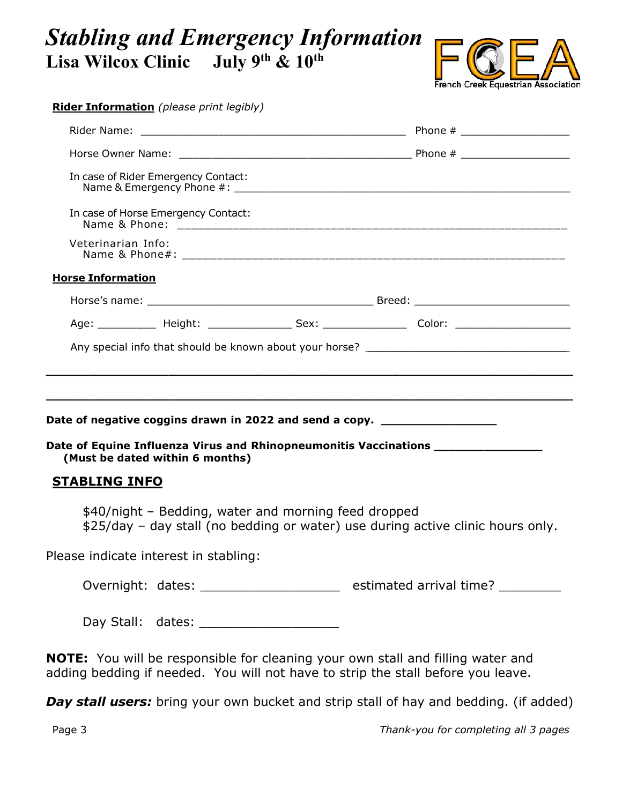## *Stabling and Emergency Information*  **Lisa Wilcox Clinic July 9th & 10th**



| Age: ___________ Height: _________________ Sex: __________________ Color: _________________________ |
|-----------------------------------------------------------------------------------------------------|
|                                                                                                     |
|                                                                                                     |
|                                                                                                     |
|                                                                                                     |
|                                                                                                     |
|                                                                                                     |
|                                                                                                     |
| Date of Equine Influenza Virus and Rhinopneumonitis Vaccinations _______________                    |
|                                                                                                     |
| \$25/day - day stall (no bedding or water) use during active clinic hours only.                     |
|                                                                                                     |
|                                                                                                     |
| Overnight: dates: _______________________ estimated arrival time? _________                         |
|                                                                                                     |

**Day stall users:** bring your own bucket and strip stall of hay and bedding. (if added)